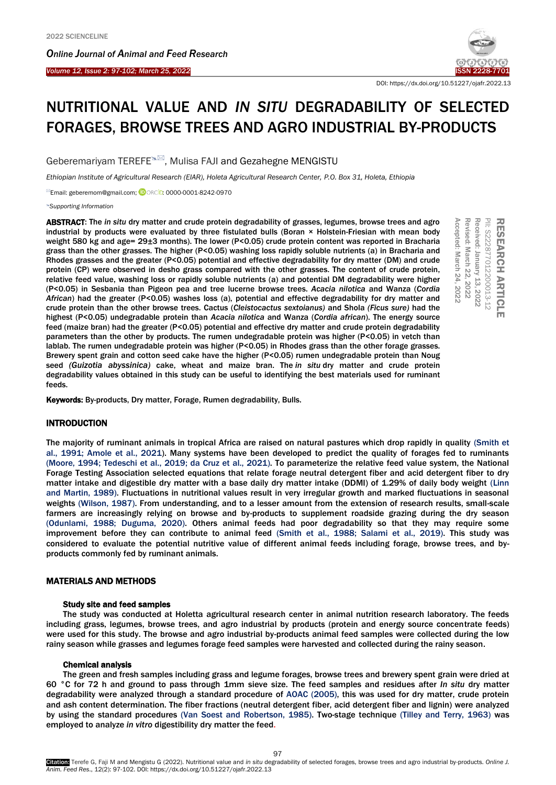Ī

*Online Journal of A[nimal and](http://www.ojafr.ir/main/) Feed Research Volume 12, Issue 2: 97-102; March 25, 2022* [ISSN 2228-7701](mailto:www.ojafr.ir)



DOI[: https://dx.doi.org/10.51227/ojafr.2022.13](https://dx.doi.org/10.51227/ojafr.2022.13)

# NUTRITIONAL VALUE AND *IN SITU* DEGRADABILITY OF SELECTED FORAGES, BROWSE TREES AND AGRO INDUSTRIAL BY-PRODUCTS

Geberemariyam TEREFE<sup>&M</sup>, Mulisa FAJI and Gezahegne MENGISTU

*Ethiopian Institute of Agricultural Research (EIAR), Holeta Agricultural Research Center, P.O. Box 31, Holeta, Ethiopia*

Email: geberemom@gmail.com; <sup>(DORCID</sup>[: 0000-0001-8242-0970](https://orcid.org/0000-0001-8242-0970)

*Supporting Information*

ABSTRACT: The *in situ* dry matter and crude protein degradability of grasses, legumes, browse trees and agro industrial by products were evaluated by three fistulated bulls (Boran × Holstein-Friesian with mean body weight 580 kg and age= 29±3 months). The lower (P<0.05) crude protein content was reported in Bracharia grass than the other grasses. The higher (P<0.05) washing loss rapidly soluble nutrients (a) in Bracharia and Rhodes grasses and the greater (P<0.05) potential and effective degradability for dry matter (DM) and crude protein (CP) were observed in desho grass compared with the other grasses. The content of crude protein, relative feed value, washing loss or rapidly soluble nutrients (a) and potential DM degradability were higher (P<0.05) in Sesbania than Pigeon pea and tree lucerne browse trees. *Acacia nilotica* and Wanza (*Cordia African*) had the greater (P<0.05) washes loss (a), potential and effective degradability for dry matter and crude protein than the other browse trees. Cactus (*Cleistocactus sextoianus)* and Shola *(Ficus sure)* had the highest (P<0.05) undegradable protein than *Acacia nilotica* and Wanza (*Cordia african*). The energy source feed (maize bran) had the greater (P<0.05) potential and effective dry matter and crude protein degradability parameters than the other by products. The rumen undegradable protein was higher (P<0.05) in vetch than lablab. The rumen undegradable protein was higher (P<0.05) in Rhodes grass than the other forage grasses. Brewery spent grain and cotton seed cake have the higher (P<0.05) rumen undegradable protein than Noug seed *(Guizotia abyssinica)* cake, wheat and maize bran. The *in situ* dry matter and crude protein degradability values obtained in this study can be useful to identifying the best materials used for ruminant feeds. **ABSTRACT:** The *In situ dry* matter and crude protein degradability of grasses, legumes, brower tees and agre-<br>
midustrial by products were evaluated by three fistulated bulls (Boran × Holstein-Friesian with mean hody<br>
we

# **INTRODUCTION**

The majority of ruminant animals in tropical Africa are raised on natural pastures which drop rapidly in quality [\(Smith et](#page-5-0)  [al., 1991;](#page-5-0) [Amole et al., 2021\)](#page-4-0). Many systems have been developed to predict the quality of forages fed to ruminants [\(Moore, 1994;](#page-5-1) [Tedeschi et al., 2019;](#page-5-2) [da Cruz et al., 2021\)](#page-5-3). To parameterize the relative feed value system, the National Forage Testing Association selected equations that relate forage neutral detergent fiber and acid detergent fiber to dry matter intake and digestible dry matter with a base daily dry matter intake (DDMI) of 1.29% of daily body weight [\(Linn](#page-5-4)  [and Martin, 1989\)](#page-5-4). Fluctuations in nutritional values result in very irregular growth and marked fluctuations in seasonal weights [\(Wilson, 1987\)](#page-5-5). From understanding, and to a lesser amount from the extension of research results, small-scale farmers are increasingly relying on browse and by-products to supplement roadside grazing during the dry season [\(Odunlami, 1988;](#page-5-6) [Duguma, 2020\)](#page-5-7). Others animal feeds had poor degradability so that they may require some improvement before they can contribute to animal feed [\(Smith et al., 1988;](#page-5-8) [Salami et al., 2019\)](#page-5-9). This study was considered to evaluate the potential nutritive value of different animal feeds including forage, browse trees, and byproducts commonly fed by ruminant animals.

# MATERIALS AND METHODS

#### Study site and feed samples

The study was conducted at Holetta agricultural research center in animal nutrition research laboratory. The feeds including grass, legumes, browse trees, and agro industrial by products (protein and energy source concentrate feeds) were used for this study. The browse and agro industrial by-products animal feed samples were collected during the low rainy season while grasses and legumes forage feed samples were harvested and collected during the rainy season.

# Chemical analysis

The green and fresh samples including grass and legume forages, browse trees and brewery spent grain were dried at 60 °C for 72 h and ground to pass through 1mm sieve size. The feed samples and residues after *In situ* dry matter degradability were analyzed through a standard procedure of AOAC (2005), this was used for dry matter, crude protein and ash content determination. The fiber fractions (neutral detergent fiber, acid detergent fiber and lignin) were analyzed by using the standard procedures [\(Van Soest and Robertson, 1985\)](#page-5-10). Two-stage technique [\(Tilley and Terry, 1963\)](#page-5-11) was employed to analyze *in vitro* digestibility dry matter the feed.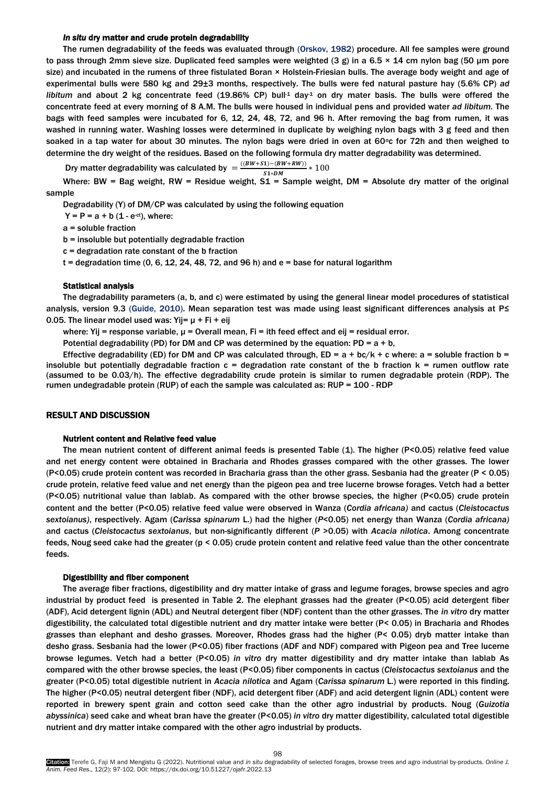## *In situ* dry matter and crude protein degradability

The rumen degradability of the feeds was evaluated through [\(Orskov, 1982\)](#page-5-12) procedure. All fee samples were ground to pass through 2mm sieve size. Duplicated feed samples were weighted (3 g) in a 6.5  $\times$  14 cm nylon bag (50 µm pore size) and incubated in the rumens of three fistulated Boran × Holstein-Friesian bulls. The average body weight and age of experimental bulls were 580 kg and 29±3 months, respectively. The bulls were fed natural pasture hay (5.6% CP) *ad libitum* and about 2 kg concentrate feed (19.86% CP) bull<sup>1</sup> day<sup>1</sup> on dry mater basis. The bulls were offered the concentrate feed at every morning of 8 A.M. The bulls were housed in individual pens and provided water *ad libitum.* The bags with feed samples were incubated for 6, 12, 24, 48, 72, and 96 h. After removing the bag from rumen, it was washed in running water. Washing losses were determined in duplicate by weighing nylon bags with 3 g feed and then soaked in a tap water for about 30 minutes. The nylon bags were dried in oven at 60 $\degree$ c for 72h and then weighed to determine the dry weight of the residues. Based on the following formula dry matter degradability was determined.

Dry matter degradability was calculated by  $=\frac{((BW+S1)-(BW+RW))}{S1-N} * 100$  $S1 * DM$ 

Where: BW = Bag weight, RW = Residue weight,  $S1$  = Sample weight, DM = Absolute dry matter of the original sample

Degradability (Y) of DM/CP was calculated by using the following equation

 $Y = P = a + b (1 - e^{-ct})$ , where:

a = soluble fraction

b = insoluble but potentially degradable fraction

c = degradation rate constant of the b fraction

 $t =$  degradation time (0, 6, 12, 24, 48, 72, and 96 h) and  $e =$  base for natural logarithm

#### Statistical analysis

The degradability parameters (a, b, and c) were estimated by using the general linear model procedures of statistical analysis, version 9.3 [\(Guide, 2010\)](#page-5-13). Mean separation test was made using least significant differences analysis at P≤ 0.05. The linear model used was: Yij=  $\mu$  + Fi + eij

where: Yij = response variable,  $\mu$  = Overall mean, Fi = ith feed effect and eij = residual error.

Potential degradability (PD) for DM and CP was determined by the equation:  $PD = a + b$ ,

Effective degradability (ED) for DM and CP was calculated through, ED =  $a + bc/k + c$  where:  $a =$  soluble fraction b = insoluble but potentially degradable fraction  $c =$  degradation rate constant of the b fraction  $k =$  rumen outflow rate (assumed to be 0.03/h). The effective degradability crude protein is similar to rumen degradable protein (RDP). The rumen undegradable protein (RUP) of each the sample was calculated as: RUP = 100 - RDP

#### RESULT AND DISCUSSION

#### Nutrient content and Relative feed value

The mean nutrient content of different animal feeds is presented Table (1). The higher (P<0.05) relative feed value and net energy content were obtained in Bracharia and Rhodes grasses compared with the other grasses. The lower (P<0.05) crude protein content was recorded in Bracharia grass than the other grass. Sesbania had the greater (P < 0.05) crude protein, relative feed value and net energy than the pigeon pea and tree lucerne browse forages. Vetch had a better (P<0.05) nutritional value than lablab. As compared with the other browse species, the higher (P<0.05) crude protein content and the better (P<0.05) relative feed value were observed in Wanza (*Cordia africana)* and cactus (*Cleistocactus sextoianus)*, respectively. Agam (*Carissa spinarum* L.) had the higher (*P*<0.05) net energy than Wanza (*Cordia africana)* and cactus (*Cleistocactus sextoianus*, but non-significantly different (*P* >0.05) with *Acacia nilotica*. Among concentrate feeds, Noug seed cake had the greater (p < 0.05) crude protein content and relative feed value than the other concentrate feeds.

#### Digestibility and fiber component

The average fiber fractions, digestibility and dry matter intake of grass and legume forages, browse species and agro industrial by product feed is presented in Table 2. The elephant grasses had the greater (P<0.05) acid detergent fiber (ADF), Acid detergent lignin (ADL) and Neutral detergent fiber (NDF) content than the other grasses. The *in vitro* dry matter digestibility, the calculated total digestible nutrient and dry matter intake were better (P< 0.05) in Bracharia and Rhodes grasses than elephant and desho grasses. Moreover, Rhodes grass had the higher (P< 0.05) dryb matter intake than desho grass. Sesbania had the lower (P<0.05) fiber fractions (ADF and NDF) compared with Pigeon pea and Tree lucerne browse legumes. Vetch had a better (P<0.05) *in vitro* dry matter digestibility and dry matter intake than lablab As compared with the other browse species, the least (P<0.05) fiber components in cactus (*Cleistocactus sextoianus* and the greater (P<0.05) total digestible nutrient in *Acacia nilotica* and Agam (*Carissa spinarum* L.) were reported in this finding. The higher (P<0.05) neutral detergent fiber (NDF), acid detergent fiber (ADF) and acid detergent lignin (ADL) content were reported in brewery spent grain and cotton seed cake than the other agro industrial by products. Noug (*Guizotia abyssinica*) seed cake and wheat bran have the greater (P<0.05) *in vitro* dry matter digestibility, calculated total digestible nutrient and dry matter intake compared with the other agro industrial by products.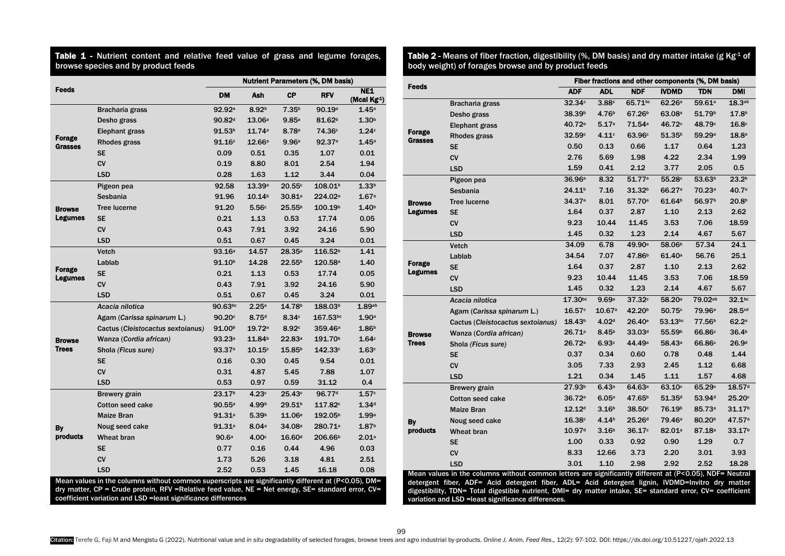Table 1 - Nutrient content and relative feed value of grass and legume forages, browse species and by product feeds

|                                                                                                                                                                       |                                   | <b>Nutrient Parameters (%, DM basis)</b> |                    |                    |                     |                                        |  |  |
|-----------------------------------------------------------------------------------------------------------------------------------------------------------------------|-----------------------------------|------------------------------------------|--------------------|--------------------|---------------------|----------------------------------------|--|--|
| Feeds                                                                                                                                                                 |                                   | DM                                       | Ash                | СP                 | <b>RFV</b>          | <b>NE1</b><br>(Mcal Kg <sup>-1</sup> ) |  |  |
| Forage<br>Grasses                                                                                                                                                     | Bracharia grass                   | 92.92 <sup>a</sup>                       | 8.92 <sup>b</sup>  | 7.35 <sup>b</sup>  | 90.19a              | 1.45a                                  |  |  |
|                                                                                                                                                                       | Desho grass                       | 90.82 <sup>d</sup>                       | 13.06a             | 9.85a              | 81.62 <sup>b</sup>  | 1.30 <sup>b</sup>                      |  |  |
|                                                                                                                                                                       | Elephant grass                    | 91.53 <sup>b</sup>                       | 11.74a             | 8.78a              | 74.36 <sup>c</sup>  | 1.24c                                  |  |  |
|                                                                                                                                                                       | Rhodes grass                      | 91.16c                                   | 12.66a             | 9.96a              | 92.37a              | 1.45a                                  |  |  |
|                                                                                                                                                                       | <b>SE</b>                         | 0.09                                     | 0.51               | 0.35               | 1.07                | 0.01                                   |  |  |
|                                                                                                                                                                       | <b>CV</b>                         | 0.19                                     | 8.80               | 8.01               | 2.54                | 1.94                                   |  |  |
|                                                                                                                                                                       | <b>LSD</b>                        | 0.28                                     | 1.63               | 1.12               | 3.44                | 0.04                                   |  |  |
|                                                                                                                                                                       | Pigeon pea                        | 92.58                                    | 13.39a             | 20.55c             | 108.01 <sup>b</sup> | 1.33 <sup>b</sup>                      |  |  |
|                                                                                                                                                                       | Sesbania                          | 91.96                                    | 10.14 <sup>b</sup> | 30.81 <sup>a</sup> | 224.02 <sup>a</sup> | 1.67a                                  |  |  |
| <b>Browse</b>                                                                                                                                                         | <b>Tree lucerne</b>               | 91.20                                    | 5.56c              | 25.55 <sup>b</sup> | 100.19 <sup>b</sup> | 1.40 <sup>b</sup>                      |  |  |
| Legumes                                                                                                                                                               | <b>SE</b>                         | 0.21                                     | 1.13               | 0.53               | 17.74               | 0.05                                   |  |  |
|                                                                                                                                                                       | <b>CV</b>                         | 0.43                                     | 7.91               | 3.92               | 24.16               | 5.90                                   |  |  |
|                                                                                                                                                                       | <b>LSD</b>                        | 0.51                                     | 0.67               | 0.45               | 3.24                | 0.01                                   |  |  |
|                                                                                                                                                                       | Vetch                             | 93.16a                                   | 14.57              | 28.35a             | 116.52 <sup>b</sup> | 1.41                                   |  |  |
|                                                                                                                                                                       | Lablab                            | 91.10 <sup>b</sup>                       | 14.28              | 22.55 <sup>b</sup> | 120.58a             | 1.40                                   |  |  |
| Forage<br>Legumes                                                                                                                                                     | <b>SE</b>                         | 0.21                                     | 1.13               | 0.53               | 17.74               | 0.05                                   |  |  |
|                                                                                                                                                                       | <b>CV</b>                         | 0.43                                     | 7.91               | 3.92               | 24.16               | 5.90                                   |  |  |
|                                                                                                                                                                       | <b>LSD</b>                        | 0.51                                     | 0.67               | 0.45               | 3.24                | 0.01                                   |  |  |
|                                                                                                                                                                       | Acacia nilotica                   | 90.63bc                                  | 2.25e              | 14.78 <sup>b</sup> | 188.03 <sup>b</sup> | 1.89a <sub>b</sub>                     |  |  |
|                                                                                                                                                                       | Agam (Carissa spinarum L.)        | 90.20c                                   | 8.75 <sup>d</sup>  | 8.34c              | 167.53bc            | 1.90 <sup>a</sup>                      |  |  |
|                                                                                                                                                                       | Cactus (Cleistocactus sextoianus) | 91.00 <sup>b</sup>                       | 19.72a             | 8.92c              | 359.46a             | 1.86 <sup>b</sup>                      |  |  |
| <b>Browse</b>                                                                                                                                                         | Wanza (Cordia african)            | 93.23a                                   | 11.84 <sup>b</sup> | 22.83a             | 191.70 <sup>b</sup> | 1.64c                                  |  |  |
| <b>Trees</b>                                                                                                                                                          | Shola (Ficus sure)                | 93.37a                                   | 10.15c             | 15.85 <sup>b</sup> | 142.33c             | 1.63c                                  |  |  |
|                                                                                                                                                                       | <b>SE</b>                         | 0.16                                     | 0.30               | 0.45               | 9.54                | 0.01                                   |  |  |
|                                                                                                                                                                       | CV                                | 0.31                                     | 4.87               | 5.45               | 7.88                | 1.07                                   |  |  |
|                                                                                                                                                                       | <b>LSD</b>                        | 0.53                                     | 0.97               | 0.59               | 31.12               | 0.4                                    |  |  |
|                                                                                                                                                                       | Brewery grain                     | 23.17 <sup>b</sup>                       | 4.23c              | 25.43c             | 96.77d              | 1.57c                                  |  |  |
| By<br>products                                                                                                                                                        | <b>Cotton seed cake</b>           | $90.55^{\circ}$                          | 4.99 <sup>b</sup>  | 29.51 <sup>b</sup> | 117.82c             | 1.34 <sup>d</sup>                      |  |  |
|                                                                                                                                                                       | Maize Bran                        | 91.31a                                   | 5.39 <sup>b</sup>  | 11.06e             | 192.05 <sup>b</sup> | 1.99a                                  |  |  |
|                                                                                                                                                                       | Noug seed cake                    | 91.31a                                   | 8.04a              | 34.08a             | 280.71 <sup>a</sup> | 1.87 <sup>b</sup>                      |  |  |
|                                                                                                                                                                       | Wheat bran                        | 90.6a                                    | 4.00c              | 16.60 <sup>d</sup> | 206.66 <sup>b</sup> | 2.01a                                  |  |  |
|                                                                                                                                                                       | <b>SE</b>                         | 0.77                                     | 0.16               | 0.44               | 4.96                | 0.03                                   |  |  |
|                                                                                                                                                                       | CV                                | 1.73                                     | 5.26               | 3.18               | 4.81                | 2.51                                   |  |  |
|                                                                                                                                                                       | <b>LSD</b>                        | 2.52                                     | 0.53               | 1.45               | 16.18               | 0.08                                   |  |  |
| Mean values in the columns without common superscripts are significantly different at (P<0.05), DM=                                                                   |                                   |                                          |                    |                    |                     |                                        |  |  |
| dry matter, CP = Crude protein, RFV = Relative feed value, NE = Net energy, SE= standard error, CV=<br>coefficient variation and LSD = least significance differences |                                   |                                          |                    |                    |                     |                                        |  |  |

**Table 2 -** Means of fiber fraction, digestibility (%, DM basis) and dry matter intake (g Kg<sup>.1</sup> of body weight) of forages browse and by product feeds

|                                                                                                                                                                                                                |                                   | Fiber fractions and other components (%, DM basis) |                   |                    |                    |                    |                    |  |  |
|----------------------------------------------------------------------------------------------------------------------------------------------------------------------------------------------------------------|-----------------------------------|----------------------------------------------------|-------------------|--------------------|--------------------|--------------------|--------------------|--|--|
| Feeds                                                                                                                                                                                                          |                                   | <b>ADF</b>                                         | <b>ADL</b>        | <b>NDF</b>         | <b>IVDMD</b>       | <b>TDN</b>         | DMI                |  |  |
| Forage<br><b>Grasses</b>                                                                                                                                                                                       | Bracharia grass                   | 32.34c                                             | 3.88c             | 65.71bc            | 62.26a             | 59.61 <sup>a</sup> | 18.3 <sub>ab</sub> |  |  |
|                                                                                                                                                                                                                | Desho grass                       | 38.39 <sup>b</sup>                                 | 4.76 <sup>b</sup> | 67.26 <sup>b</sup> | 63.08a             | 51.79 <sup>b</sup> | 17.8 <sup>b</sup>  |  |  |
|                                                                                                                                                                                                                | Elephant grass                    | 40.72 <sup>a</sup>                                 | 5.17a             | 71.54a             | 46.72c             | 48.79c             | 16.8c              |  |  |
|                                                                                                                                                                                                                | Rhodes grass                      | 32.59c                                             | 4.11c             | 63.96c             | 51.35 <sup>b</sup> | 59.29 <sup>a</sup> | 18.8 <sup>a</sup>  |  |  |
|                                                                                                                                                                                                                | <b>SE</b>                         | 0.50                                               | 0.13              | 0.66               | 1.17               | 0.64               | 1.23               |  |  |
|                                                                                                                                                                                                                | <b>CV</b>                         | 2.76                                               | 5.69              | 1.98               | 4.22               | 2.34               | 1.99               |  |  |
|                                                                                                                                                                                                                | <b>LSD</b>                        | 1.59                                               | 0.41              | 2.12               | 3.77               | 2.05               | 0.5                |  |  |
|                                                                                                                                                                                                                | Pigeon pea                        | 36.96 <sup>a</sup>                                 | 8.32              | 51.77a             | 55.28c             | 53.63 <sup>b</sup> | 23.2 <sup>b</sup>  |  |  |
|                                                                                                                                                                                                                | Sesbania                          | 24.11 <sup>b</sup>                                 | 7.16              | 31.32 <sup>b</sup> | 66.27 <sup>a</sup> | 70.23a             | 40.7a              |  |  |
| <b>Browse</b>                                                                                                                                                                                                  | <b>Tree lucerne</b>               | 34.37a                                             | 8.01              | 57.70 <sup>a</sup> | 61.64 <sup>b</sup> | 56.97 <sup>b</sup> | 20.8 <sup>b</sup>  |  |  |
| <b>Legumes</b>                                                                                                                                                                                                 | <b>SE</b>                         | 1.64                                               | 0.37              | 2.87               | 1.10               | 2.13               | 2.62               |  |  |
|                                                                                                                                                                                                                | <b>CV</b>                         | 9.23                                               | 10.44             | 11.45              | 3.53               | 7.06               | 18.59              |  |  |
|                                                                                                                                                                                                                | <b>LSD</b>                        | 1.45                                               | 0.32              | 1.23               | 2.14               | 4.67               | 5.67               |  |  |
|                                                                                                                                                                                                                | Vetch                             | 34.09                                              | 6.78              | 49.90 <sup>a</sup> | 58.06 <sup>b</sup> | 57.34              | 24.1               |  |  |
|                                                                                                                                                                                                                | Lablab                            | 34.54                                              | 7.07              | 47.86 <sup>b</sup> | 61.40a             | 56.76              | 25.1               |  |  |
| Forage                                                                                                                                                                                                         | <b>SE</b>                         | 1.64                                               | 0.37              | 2.87               | 1.10               | 2.13               | 2.62               |  |  |
| <b>Legumes</b>                                                                                                                                                                                                 | CV                                | 9.23                                               | 10.44             | 11.45              | 3.53               | 7.06               | 18.59              |  |  |
|                                                                                                                                                                                                                | <b>LSD</b>                        | 1.45                                               | 0.32              | 1.23               | 2.14               | 4.67               | 5.67               |  |  |
|                                                                                                                                                                                                                | Acacia nilotica                   | $17.30^{bc}$                                       | 9.69a             | 37.32c             | 58.20 <sup>a</sup> | 79.02ab            | $32.1^{bc}$        |  |  |
|                                                                                                                                                                                                                | Agam (Carissa spinarum L.)        | 16.57c                                             | $10.67$ a         | 42.20 <sup>b</sup> | 50.75c             | 79.96ª             | 28.5 <sup>cd</sup> |  |  |
|                                                                                                                                                                                                                | Cactus (Cleistocactus sextoianus) | 18.43 <sup>b</sup>                                 | 4.02 <sup>d</sup> | $26.40^{\circ}$    | 53.13bc            | 77.56 <sup>b</sup> | 62.2a              |  |  |
| <b>Browse</b>                                                                                                                                                                                                  | Wanza (Cordia african)            | 26.71a                                             | 8.45 <sup>b</sup> | 33.03 <sup>d</sup> | 55.59 <sup>b</sup> | 66.86c             | 36.4 <sup>b</sup>  |  |  |
| <b>Trees</b>                                                                                                                                                                                                   | Shola (Ficus sure)                | 26.72a                                             | 6.93c             | 44.49 <sup>a</sup> | 58.43a             | 66.86c             | 26.9 <sup>d</sup>  |  |  |
|                                                                                                                                                                                                                | <b>SE</b>                         | 0.37                                               | 0.34              | 0.60               | 0.78               | 0.48               | 1.44               |  |  |
|                                                                                                                                                                                                                | <b>CV</b>                         | 3.05                                               | 7.33              | 2.93               | 2.45               | 1.12               | 6.68               |  |  |
|                                                                                                                                                                                                                | <b>LSD</b>                        | 1.21                                               | 0.34              | 1.45               | 1.11               | 1.57               | 4.68               |  |  |
|                                                                                                                                                                                                                | Brewery grain                     | 27.93 <sup>b</sup>                                 | 6.43a             | 64.63a             | 63.10c             | 65.29c             | 18.57 <sup>d</sup> |  |  |
|                                                                                                                                                                                                                | <b>Cotton seed cake</b>           | 36.72a                                             | 6.05a             | 47.65 <sup>b</sup> | 51.35 <sup>d</sup> | 53.94 <sup>d</sup> | 25.20c             |  |  |
|                                                                                                                                                                                                                | <b>Maize Bran</b>                 | $12.12^d$                                          | 3.16 <sup>b</sup> | 38.50 <sup>c</sup> | 76.19 <sup>b</sup> | 85.73a             | 31.17 <sup>b</sup> |  |  |
| By<br>products                                                                                                                                                                                                 | Noug seed cake                    | 16.38c                                             | 4.14 <sup>b</sup> | 25.26 <sup>d</sup> | 79.46 <sup>a</sup> | 80.20 <sup>b</sup> | 47.57 <sup>a</sup> |  |  |
|                                                                                                                                                                                                                | Wheat bran                        | 10.97 <sup>d</sup>                                 | 3.16 <sup>b</sup> | 36.17 <sup>c</sup> | 82.01a             | 87.18a             | 33.17 <sup>b</sup> |  |  |
|                                                                                                                                                                                                                | SE                                | 1.00                                               | 0.33              | 0.92               | 0.90               | 1.29               | 0.7                |  |  |
|                                                                                                                                                                                                                | CV                                | 8.33                                               | 12.66             | 3.73               | 2.20               | 3.01               | 3.93               |  |  |
|                                                                                                                                                                                                                | <b>LSD</b>                        | 3.01                                               | 1.10              | 2.98               | 2.92               | 2.52               | 18.28              |  |  |
| Mean values in the columns without common letters are significantly different at (P<0.05), NDF= Neutral                                                                                                        |                                   |                                                    |                   |                    |                    |                    |                    |  |  |
| detergent fiber, ADF= Acid detergent fiber, ADL= Acid detergent lignin, IVDMD=Invitro dry matter<br>digestibility, TDN= Total digestible nutrient, DMI= dry matter intake, SE= standard error, CV= coefficient |                                   |                                                    |                   |                    |                    |                    |                    |  |  |
| variation and LSD = least significance differences.                                                                                                                                                            |                                   |                                                    |                   |                    |                    |                    |                    |  |  |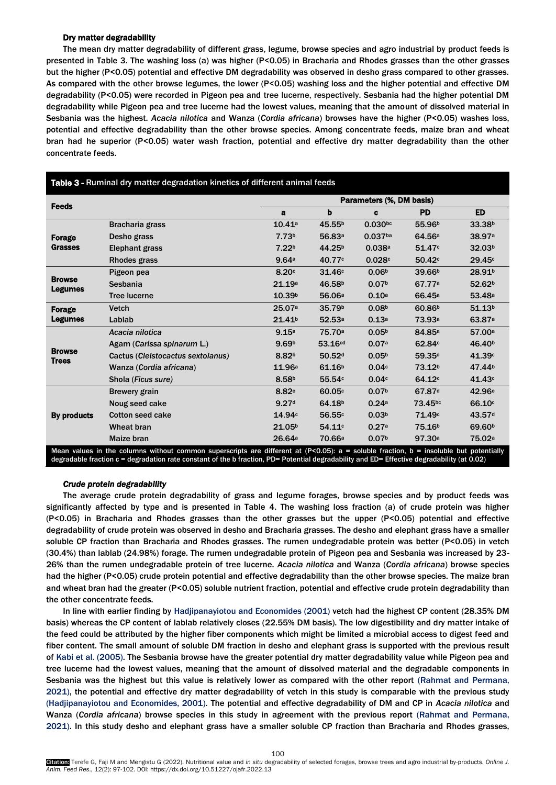## Dry matter degradability

The mean dry matter degradability of different grass, legume, browse species and agro industrial by product feeds is presented in Table 3. The washing loss (a) was higher (P<0.05) in Bracharia and Rhodes grasses than the other grasses but the higher (P<0.05) potential and effective DM degradability was observed in desho grass compared to other grasses. As compared with the other browse legumes, the lower (P<0.05) washing loss and the higher potential and effective DM degradability (P<0.05) were recorded in Pigeon pea and tree lucerne, respectively. Sesbania had the higher potential DM degradability while Pigeon pea and tree lucerne had the lowest values, meaning that the amount of dissolved material in Sesbania was the highest. *Acacia nilotica* and Wanza (*Cordia africana*) browses have the higher (P<0.05) washes loss, potential and effective degradability than the other browse species. Among concentrate feeds, maize bran and wheat bran had he superior (P<0.05) water wash fraction, potential and effective dry matter degradability than the other concentrate feeds.

|                                                                                                                                       |                                   |                    | Parameters (%, DM basis) |                   |                    |                    |  |  |  |
|---------------------------------------------------------------------------------------------------------------------------------------|-----------------------------------|--------------------|--------------------------|-------------------|--------------------|--------------------|--|--|--|
| <b>Feeds</b>                                                                                                                          |                                   | a                  | b                        | c                 | <b>PD</b>          | <b>ED</b>          |  |  |  |
| Forage<br><b>Grasses</b>                                                                                                              | Bracharia grass                   | 10.41a             | 45.55 <sup>b</sup>       | $0.030^{bc}$      | 55.96 <sup>b</sup> | 33.38 <sup>b</sup> |  |  |  |
|                                                                                                                                       | Desho grass                       | 7.73 <sup>b</sup>  | 56.83 <sup>a</sup>       | $0.037$ ba        | 64.56 <sup>a</sup> | 38.97 <sup>a</sup> |  |  |  |
|                                                                                                                                       | Elephant grass                    | 7.22 <sup>b</sup>  | 44.25 <sup>b</sup>       | 0.038a            | 51.47 <sup>c</sup> | 32.03 <sup>b</sup> |  |  |  |
|                                                                                                                                       | <b>Rhodes grass</b>               | 9.64a              | 40.77c                   | 0.028c            | 50.42 <sup>c</sup> | 29.45c             |  |  |  |
| <b>Browse</b><br><b>Legumes</b>                                                                                                       | Pigeon pea                        | 8.20c              | 31.46c                   | 0.06 <sup>b</sup> | 39.66 <sup>b</sup> | 28.91 <sup>b</sup> |  |  |  |
|                                                                                                                                       | Sesbania                          | 21.19a             | 46.58 <sup>b</sup>       | 0.07 <sup>b</sup> | 67.77 <sup>a</sup> | 52.62 <sup>b</sup> |  |  |  |
|                                                                                                                                       | <b>Tree lucerne</b>               | 10.39 <sup>b</sup> | 56.06 <sup>a</sup>       | 0.10a             | 66.45 <sup>a</sup> | 53.48a             |  |  |  |
| Forage<br><b>Legumes</b>                                                                                                              | <b>Vetch</b>                      | 25.07a             | 35.79b                   | 0.08 <sup>b</sup> | 60.86 <sup>b</sup> | 51.13 <sup>b</sup> |  |  |  |
|                                                                                                                                       | Lablab                            | 21.41 <sup>b</sup> | 52.53a                   | 0.13a             | 73.93 <sup>a</sup> | 63.87 <sup>a</sup> |  |  |  |
|                                                                                                                                       | Acacia nilotica                   | 9.15a              | 75.70a                   | 0.05 <sup>b</sup> | 84.85 <sup>a</sup> | 57.00 <sup>a</sup> |  |  |  |
|                                                                                                                                       | Agam (Carissa spinarum L.)        | 9.69 <sup>b</sup>  | 53.16 <sup>cd</sup>      | 0.07a             | 62.84c             | 46.40 <sup>b</sup> |  |  |  |
| <b>Browse</b><br><b>Trees</b>                                                                                                         | Cactus (Cleistocactus sextoianus) | 8.82 <sup>b</sup>  | 50.52 <sup>d</sup>       | 0.05 <sup>b</sup> | 59.35 <sup>d</sup> | 41.39c             |  |  |  |
|                                                                                                                                       | Wanza (Cordia africana)           | 11.96a             | 61.16 <sup>b</sup>       | 0.04c             | 73.12 <sup>b</sup> | 47.44 <sup>b</sup> |  |  |  |
|                                                                                                                                       | Shola (Ficus sure)                | 8.58 <sup>b</sup>  | 55.54c                   | 0.04c             | 64.12 <sup>c</sup> | 41.43c             |  |  |  |
| By products                                                                                                                           | <b>Brewery grain</b>              | 8.82 <sup>e</sup>  | 60.05c                   | 0.07 <sup>b</sup> | 67.87 <sup>d</sup> | 42.96 <sup>e</sup> |  |  |  |
|                                                                                                                                       | Noug seed cake                    | 9.27 <sup>d</sup>  | 64.18 <sup>b</sup>       | 0.24a             | 73.45bc            | 66.10 <sup>c</sup> |  |  |  |
|                                                                                                                                       | <b>Cotton seed cake</b>           | 14.94c             | 56.55c                   | 0.03 <sup>b</sup> | 71.49 <sup>c</sup> | 43.57 <sup>d</sup> |  |  |  |
|                                                                                                                                       | <b>Wheat bran</b>                 | 21.05 <sup>b</sup> | 54.11c                   | 0.27a             | 75.16 <sup>b</sup> | 69.60 <sup>b</sup> |  |  |  |
|                                                                                                                                       | Maize bran                        | 26.64a             | 70.66 <sup>a</sup>       | 0.07 <sup>b</sup> | 97.30a             | 75.02 <sup>a</sup> |  |  |  |
| Mean values in the columns without common superscripts are different at (P<0.05): a = soluble fraction, b = insoluble but potentially |                                   |                    |                          |                   |                    |                    |  |  |  |

#### Table 3 - Ruminal dry matter degradation kinetics of different animal feeds

# *Crude protein degradability*

The average crude protein degradability of grass and legume forages, browse species and by product feeds was significantly affected by type and is presented in Table 4. The washing loss fraction (a) of crude protein was higher (P<0.05) in Bracharia and Rhodes grasses than the other grasses but the upper (P<0.05) potential and effective degradability of crude protein was observed in desho and Bracharia grasses. The desho and elephant grass have a smaller soluble CP fraction than Bracharia and Rhodes grasses. The rumen undegradable protein was better (P<0.05) in vetch (30.4%) than lablab (24.98%) forage. The rumen undegradable protein of Pigeon pea and Sesbania was increased by 23- 26% than the rumen undegradable protein of tree lucerne. *Acacia nilotica* and Wanza (*Cordia africana*) browse species had the higher (P<0.05) crude protein potential and effective degradability than the other browse species. The maize bran and wheat bran had the greater (P<0.05) soluble nutrient fraction, potential and effective crude protein degradability than the other concentrate feeds.

degradable fraction c = degradation rate constant of the b fraction, PD= Potential degradability and ED= Effective degradability (at 0.02)

In line with earlier finding by Hadjipanayiotou and Economides (2001) vetch had the highest CP content (28.35% DM basis) whereas the CP content of lablab relatively closes (22.55% DM basis). The low digestibility and dry matter intake of the feed could be attributed by the higher fiber components which might be limited a microbial access to digest feed and fiber content. The small amount of soluble DM fraction in desho and elephant grass is supported with the previous result of Kabi et al. (2005). The Sesbania browse have the greater potential dry matter degradability value while Pigeon pea and tree lucerne had the lowest values, meaning that the amount of dissolved material and the degradable components in Sesbania was the highest but this value is relatively lower as compared with the other report [\(Rahmat and Permana,](#page-5-16)  [2021\)](#page-5-16), the potential and effective dry matter degradability of vetch in this study is comparable with the previous study [\(Hadjipanayiotou and Economides, 2001\)](#page-5-14). The potential and effective degradability of DM and CP in *Acacia nilotica* and Wanza (*Cordia africana*) browse species in this study in agreement with the previous report [\(Rahmat and Permana,](#page-5-16)  [2021\)](#page-5-16). In this study desho and elephant grass have a smaller soluble CP fraction than Bracharia and Rhodes grasses,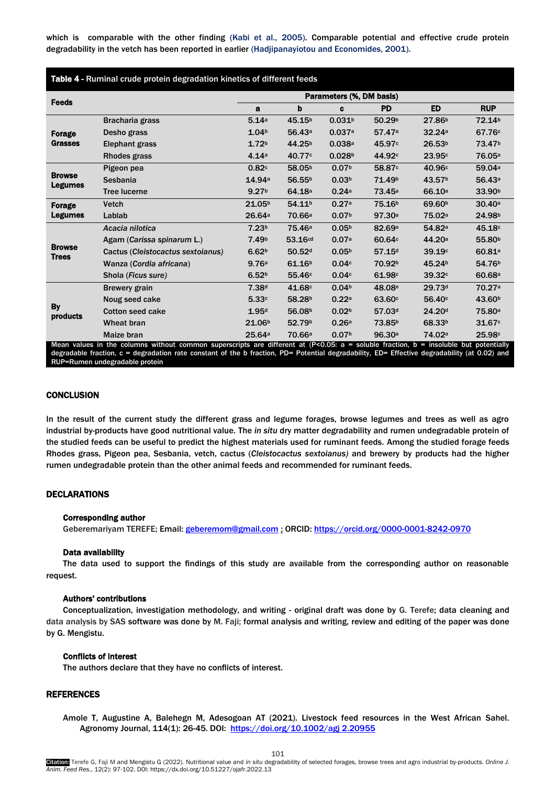which is comparable with the other finding [\(Kabi et al., 2005\)](#page-5-15). Comparable potential and effective crude protein degradability in the vetch has been reported in earlier [\(Hadjipanayiotou and Economides, 2001\)](#page-5-14).

| Table 4 - Ruminal crude protein degradation kinetics of different feeds |                                                         |                          |                    |                    |                                                                                       |                    |                    |  |  |
|-------------------------------------------------------------------------|---------------------------------------------------------|--------------------------|--------------------|--------------------|---------------------------------------------------------------------------------------|--------------------|--------------------|--|--|
|                                                                         |                                                         | Parameters (%, DM basis) |                    |                    |                                                                                       |                    |                    |  |  |
| <b>Feeds</b>                                                            |                                                         | a                        | b                  | c                  | <b>PD</b>                                                                             | <b>ED</b>          | <b>RUP</b>         |  |  |
| <b>Forage</b><br><b>Grasses</b>                                         | Bracharia grass                                         | 5.14a                    | 45.15 <sup>b</sup> | 0.031 <sup>b</sup> | 50.29 <sup>b</sup>                                                                    | 27.86 <sup>b</sup> | 72.14 <sup>b</sup> |  |  |
|                                                                         | Desho grass                                             | 1.04 <sup>b</sup>        | 56.43 <sup>a</sup> | 0.037a             | 57.47a                                                                                | 32.24a             | 67.76 <sup>c</sup> |  |  |
|                                                                         | Elephant grass                                          | 1.72 <sub>b</sub>        | 44.25 <sup>b</sup> | 0.038a             | 45.97c                                                                                | 26.53 <sup>b</sup> | 73.47 <sup>b</sup> |  |  |
|                                                                         | Rhodes grass                                            | 4.14a                    | 40.77 <sup>c</sup> | 0.028 <sup>b</sup> | 44.92c                                                                                | 23.95c             | 76.05 <sup>a</sup> |  |  |
| <b>Browse</b>                                                           | Pigeon pea                                              | 0.82c                    | 58.05 <sup>b</sup> | 0.07 <sub>b</sub>  | 58.87c                                                                                | 40.96c             | 59.04a             |  |  |
|                                                                         | Sesbania                                                | 14.94 <sup>a</sup>       | 56.55 <sup>b</sup> | 0.03 <sup>b</sup>  | 71.49 <sup>b</sup>                                                                    | 43.57 <sup>b</sup> | 56.43a             |  |  |
| <b>Legumes</b>                                                          | <b>Tree lucerne</b>                                     | 9.27 <sup>b</sup>        | 64.18 <sup>a</sup> | 0.24a              | 73.45a                                                                                | 66.10a             | 33.90 <sup>b</sup> |  |  |
| <b>Forage</b>                                                           | <b>Vetch</b>                                            | 21.05 <sup>b</sup>       | 54.11 <sup>b</sup> | 0.27a              | 75.16 <sup>b</sup>                                                                    | 69.60 <sup>b</sup> | 30.40a             |  |  |
| <b>Legumes</b>                                                          | Lablab                                                  | 26.64a                   | 70.66 <sup>a</sup> | 0.07 <sup>b</sup>  | 97.30a                                                                                | 75.02 <sup>a</sup> | 24.98 <sup>b</sup> |  |  |
|                                                                         | Acacia nilotica                                         | 7.23 <sup>b</sup>        | 75.46 <sup>a</sup> | 0.05 <sup>b</sup>  | 82.69 <sup>a</sup>                                                                    | 54.82 <sup>a</sup> | 45.18 <sup>c</sup> |  |  |
|                                                                         | Agam (Carissa spinarum L.)                              | 7.49 <sup>b</sup>        | 53.16cd            | 0.07a              | 60.64c                                                                                | 44.20 <sup>a</sup> | 55.80 <sup>b</sup> |  |  |
| <b>Browse</b><br><b>Trees</b>                                           | Cactus (Cleistocactus sextoianus)                       | 6.62 <sup>b</sup>        | 50.52 <sup>d</sup> | 0.05 <sup>b</sup>  | 57.15d                                                                                | 39.19c             | 60.81 <sup>a</sup> |  |  |
|                                                                         | Wanza (Cordia africana)                                 | 9.76a                    | 61.16 <sup>b</sup> | 0.04c              | 70.92 <sup>b</sup>                                                                    | 45.24 <sup>b</sup> | 54.76 <sup>b</sup> |  |  |
|                                                                         | Shola (Ficus sure)                                      | 6.52 <sup>b</sup>        | 55.46 <sup>c</sup> | 0.04c              | 61.98c                                                                                | 39.32c             | 60.68a             |  |  |
| By<br>products                                                          | <b>Brewery grain</b>                                    | 7.38 <sup>d</sup>        | 41.68c             | 0.04 <sup>b</sup>  | 48.08 <sup>e</sup>                                                                    | 29.73 <sup>d</sup> | 70.27 <sup>a</sup> |  |  |
|                                                                         | Noug seed cake                                          | 5.33c                    | 58.28 <sup>b</sup> | 0.22a              | 63.60c                                                                                | 56.40 <sup>c</sup> | 43.60 <sup>b</sup> |  |  |
|                                                                         | <b>Cotton seed cake</b>                                 | 1.95d                    | 56.08 <sup>b</sup> | 0.02 <sub>b</sub>  | 57.03 <sup>d</sup>                                                                    | 24.20 <sup>d</sup> | 75.80 <sup>a</sup> |  |  |
|                                                                         | Wheat bran                                              | 21.06 <sup>b</sup>       | 52.79 <sup>b</sup> | 0.26a              | 73.85 <sup>b</sup>                                                                    | 68.33 <sup>b</sup> | 31.67c             |  |  |
|                                                                         | Maize bran<br>Moon values in the columns without common | 25.64a                   | 70.66a             | 0.07 <sup>b</sup>  | 96.30a<br>cunorcarinte are different at $(D \times D)$ $D E$ , $a =$ coluble fraction | 74.02 <sup>a</sup> | 25.98c             |  |  |

Mean values in the columns without common superscripts are different at (P<0.05: a = soluble fraction, b = insoluble but potentially degradable fraction, c = degradation rate constant of the b fraction, PD= Potential degradability, ED= Effective degradability (at 0.02) and RUP=Rumen undegradable protein

# **CONCLUSION**

In the result of the current study the different grass and legume forages, browse legumes and trees as well as agro industrial by-products have good nutritional value. The *in situ* dry matter degradability and rumen undegradable protein of the studied feeds can be useful to predict the highest materials used for ruminant feeds. Among the studied forage feeds Rhodes grass, Pigeon pea, Sesbania, vetch, cactus (*Cleistocactus sextoianus)* and brewery by products had the higher rumen undegradable protein than the other animal feeds and recommended for ruminant feeds.

# DECLARATIONS

#### Corresponding author

Geberemariyam TEREFE; Email: [geberemom@gmail.com](mailto:geberemom@gmail.com) : ORCID[: https://orcid.org/0000-0001-8242-0970](https://orcid.org/0000-0001-8242-0970)

#### Data availability

The data used to support the findings of this study are available from the corresponding author on reasonable request.

#### Authors' contributions

Conceptualization, investigation methodology, and writing - original draft was done by G. Terefe; data cleaning and data analysis by SAS software was done by M. Faji; formal analysis and writing, review and editing of the paper was done by G. Mengistu.

### Conflicts of interest

The authors declare that they have no conflicts of interest.

# REFERENCES

<span id="page-4-0"></span>Amole T, Augustine A, Balehegn M, Adesogoan AT (2021). Livestock feed resources in the West African Sahel. Agronomy Journal, 114(1): 26-45. DOI: [https://doi.org/10.1002/agj 2.20955](https://doi.org/10.1002/agj%202.20955)